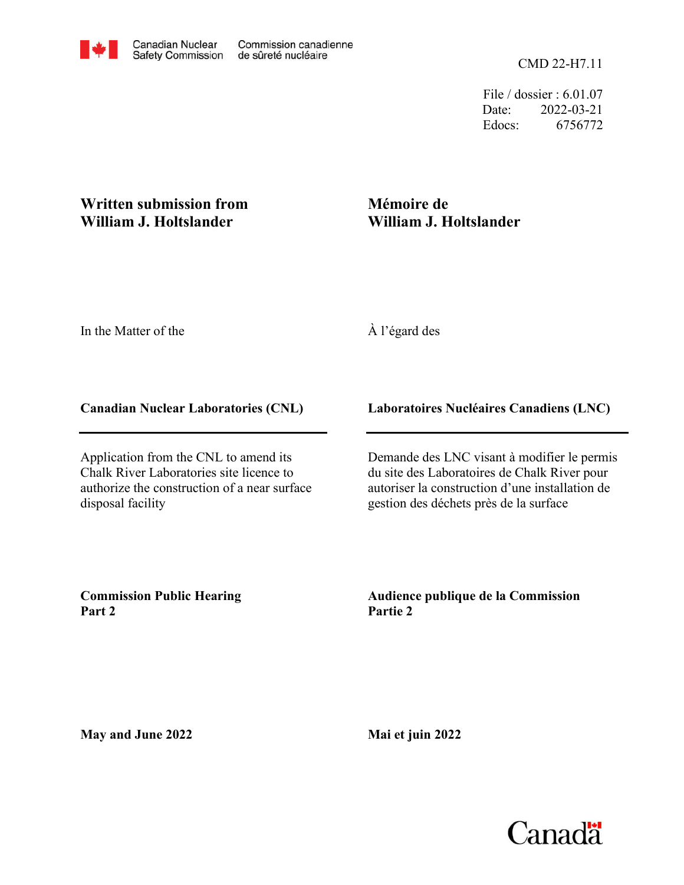File / dossier : 6.01.07 Date: 2022-03-21 Edocs: 6756772

## **Written submission from William J. Holtslander**

# **Mémoire de William J. Holtslander**

In the Matter of the

## À l'égard des

### **Canadian Nuclear Laboratories (CNL)**

Application from the CNL to amend its Chalk River Laboratories site licence to authorize the construction of a near surface disposal facility

### **Laboratoires Nucléaires Canadiens (LNC)**

Demande des LNC visant à modifier le permis du site des Laboratoires de Chalk River pour autoriser la construction d'une installation de gestion des déchets près de la surface

**Commission Public Hearing Part 2**

**Audience publique de la Commission Partie 2**

**May and June 2022**

**Mai et juin 2022**